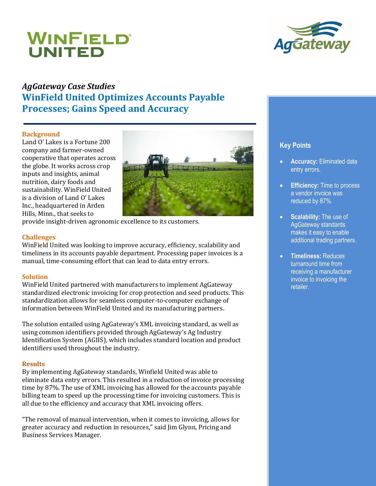# WINFIELD® UNITED



# *AgGateway Case Studies*  **WinField United Optimizes Accounts Payable Processes; Gains Speed and Accuracy**

#### **Background**

Land O' Lakes is a Fortune 200 company and farmer-owned cooperative that operates across the globe. It works across crop inputs and insights, animal nutrition, dairy foods and sustainability. WinField United is a division of Land O' Lakes Inc., headquartered in Arden Hills, Minn., that seeks to



provide insight-driven agronomic excellence to its customers.

### **Challenges**

WinField United was looking to improve accuracy, efficiency, scalability and timeliness in its accounts payable department. Processing paper invoices is a manual, time-consuming effort that can lead to data entry errors.

#### **Solution**

WinField United partnered with manufacturers to implement AgGateway standardized electronic invoicing for crop protection and seed products. This standardization allows for seamless computer-to-computer exchange of information between WinField United and its manufacturing partners.

The solution entailed using AgGateway's XML invoicing standard, as well as using common identifiers provided through AgGateway's Ag Industry Identification System (AGIIS), which includes standard location and product identifiers used throughout the industry.

#### **Results**

By implementing AgGateway standards, Winfield United was able to eliminate data entry errors. This resulted in a reduction of invoice processing time by 87%. The use of XML invoicing has allowed for the accounts payable billing team to speed up the processing time for invoicing customers. This is all due to the efficiency and accuracy that XML invoicing offers.

"The removal of manual intervention, when it comes to invoicing, allows for greater accuracy and reduction in resources," said Jim Glynn, Pricing and Business Services Manager.

## **Key Points**

- **Accuracy:** Eliminated data entry errors.
- **Efficiency:** Time to process a vendor invoice was reduced by 87%.
- **Scalability:** The use of AgGateway standards makes it easy to enable additional trading partners.
- **Timeliness:** Reduces turnaround time from receiving a manufacturer invoice to invoicing the retailer.